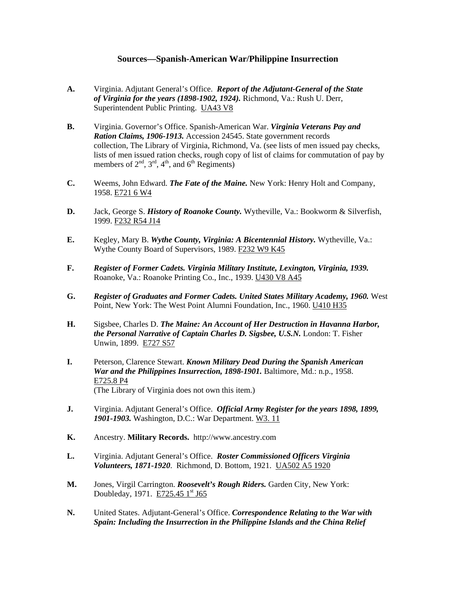## **Sources—Spanish-American War/Philippine Insurrection**

- **A.** Virginia. Adjutant General's Office. *Report of the Adjutant-General of the State of Virginia for the years (1898-1902, 1924).* Richmond, Va.: Rush U. Derr, Superintendent Public Printing. UA43 V8
- **B.** Virginia. Governor's Office. Spanish-American War. *Virginia Veterans Pay and Ration Claims, 1906-1913.* Accession 24545. State government records collection, The Library of Virginia, Richmond, Va. (see lists of men issued pay checks, lists of men issued ration checks, rough copy of list of claims for commutation of pay by members of  $2<sup>nd</sup>$ ,  $3<sup>rd</sup>$ ,  $4<sup>th</sup>$ , and  $6<sup>th</sup>$  Regiments)
- **C.** Weems, John Edward. *The Fate of the Maine.* New York: Henry Holt and Company, 1958. E721 6 W4
- **D.** Jack, George S. *History of Roanoke County.* Wytheville, Va.: Bookworm & Silverfish, 1999. F232 R54 J14
- **E.** Kegley, Mary B. *Wythe County, Virginia: A Bicentennial History.* Wytheville, Va.: Wythe County Board of Supervisors, 1989. F232 W9 K45
- **F.** *Register of Former Cadets. Virginia Military Institute, Lexington, Virginia, 1939.* Roanoke, Va.: Roanoke Printing Co., Inc., 1939. U430 V8 A45
- **G.** *Register of Graduates and Former Cadets. United States Military Academy, 1960.* West Point, New York: The West Point Alumni Foundation, Inc., 1960. U410 H35
- **H.** Sigsbee, Charles D. *The Maine: An Account of Her Destruction in Havanna Harbor, the Personal Narrative of Captain Charles D. Sigsbee, U.S.N.* London: T. Fisher Unwin, 1899. E727 S57
- **I.** Peterson, Clarence Stewart. *Known Military Dead During the Spanish American War and the Philippines Insurrection, 1898-1901.* Baltimore, Md.: n.p., 1958. E725.8 P4 (The Library of Virginia does not own this item.)
- **J.** Virginia. Adjutant General's Office. *Official Army Register for the years 1898, 1899, 1901-1903.* Washington, D.C.: War Department. W3. 11
- **K.** Ancestry. **Military Records.** http://www.ancestry.com
- **L.** Virginia. Adjutant General's Office. *Roster Commissioned Officers Virginia Volunteers, 1871-1920*. Richmond, D. Bottom, 1921. UA502 A5 1920
- **M.** Jones, Virgil Carrington. *Roosevelt's Rough Riders.* Garden City, New York: Doubleday, 1971. E725.45 1<sup>st</sup> J65
- **N.** United States. Adjutant-General's Office. *Correspondence Relating to the War with Spain: Including the Insurrection in the Philippine Islands and the China Relief*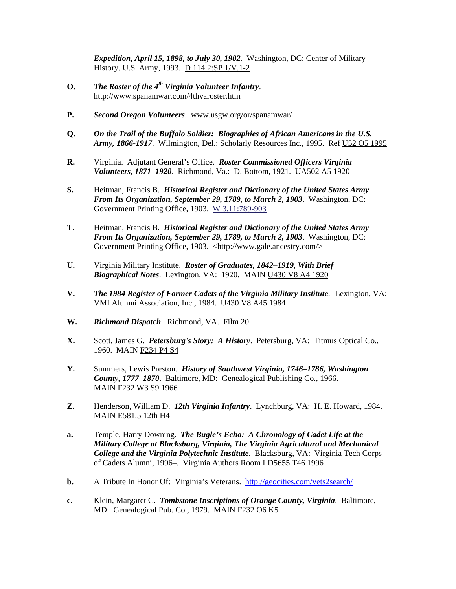*Expedition, April 15, 1898, to July 30, 1902.* Washington, DC: Center of Military History, U.S. Army, 1993. D 114.2:SP 1/V.1-2

- **O.** *The Roster of the 4th Virginia Volunteer Infantry*. http://www.spanamwar.com/4thvaroster.htm
- **P.** *Second Oregon Volunteers*. www.usgw.org/or/spanamwar/
- **Q.** *On the Trail of the Buffalo Soldier: Biographies of African Americans in the U.S. Army, 1866-1917*. Wilmington, Del.: Scholarly Resources Inc., 1995. Ref U52 O5 1995
- **R.** Virginia. Adjutant General's Office. *Roster Commissioned Officers Virginia Volunteers, 1871–1920*. Richmond, Va.: D. Bottom, 1921. UA502 A5 1920
- **S.** Heitman, Francis B. *Historical Register and Dictionary of the United States Army From Its Organization, September 29, 1789, to March 2, 1903*. Washington, DC: Government Printing Office, 1903. W 3.11:789-903
- **T.** Heitman, Francis B. *Historical Register and Dictionary of the United States Army From Its Organization, September 29, 1789, to March 2, 1903*. Washington, DC: Government Printing Office, 1903. <http://www.gale.ancestry.com/>
- **U.** Virginia Military Institute. *Roster of Graduates, 1842–1919, With Brief Biographical Notes*. Lexington, VA: 1920. MAIN U430 V8 A4 1920
- **V.** *The 1984 Register of Former Cadets of the Virginia Military Institute*. Lexington, VA: VMI Alumni Association, Inc., 1984. U430 V8 A45 1984
- **W.** *Richmond Dispatch*. Richmond, VA. Film 20
- **X.** Scott, James G. *Petersburg's Story: A History*. Petersburg, VA: Titmus Optical Co., 1960. MAIN F234 P4 S4
- **Y.** Summers, Lewis Preston. *History of Southwest Virginia, 1746–1786, Washington County, 1777–1870*. Baltimore, MD: Genealogical Publishing Co., 1966. MAIN F232 W3 S9 1966
- **Z.** Henderson, William D. *12th Virginia Infantry*. Lynchburg, VA: H. E. Howard, 1984. MAIN E581.5 12th H4
- **a.** Temple, Harry Downing. *The Bugle's Echo: A Chronology of Cadet Life at the Military College at Blacksburg, Virginia, The Virginia Agricultural and Mechanical College and the Virginia Polytechnic Institute*. Blacksburg, VA: Virginia Tech Corps of Cadets Alumni, 1996–. Virginia Authors Room LD5655 T46 1996
- **b.** A Tribute In Honor Of: Virginia's Veterans. <http://geocities.com/vets2search/>
- **c.** Klein, Margaret C. *Tombstone Inscriptions of Orange County, Virginia*. Baltimore, MD: Genealogical Pub. Co., 1979. MAIN F232 O6 K5